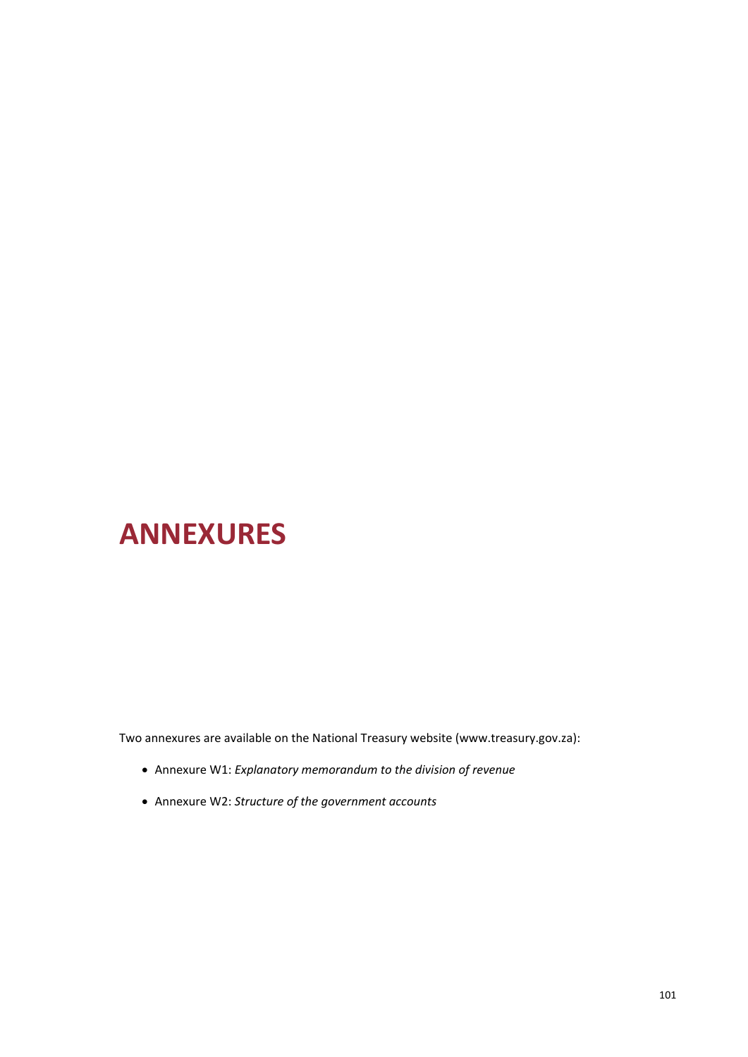# **ANNEXURES**

Two annexures are available on the National Treasury website (www.treasury.gov.za):

- Annexure W1: *Explanatory memorandum to the division of revenue*
- Annexure W2: *Structure of the government accounts*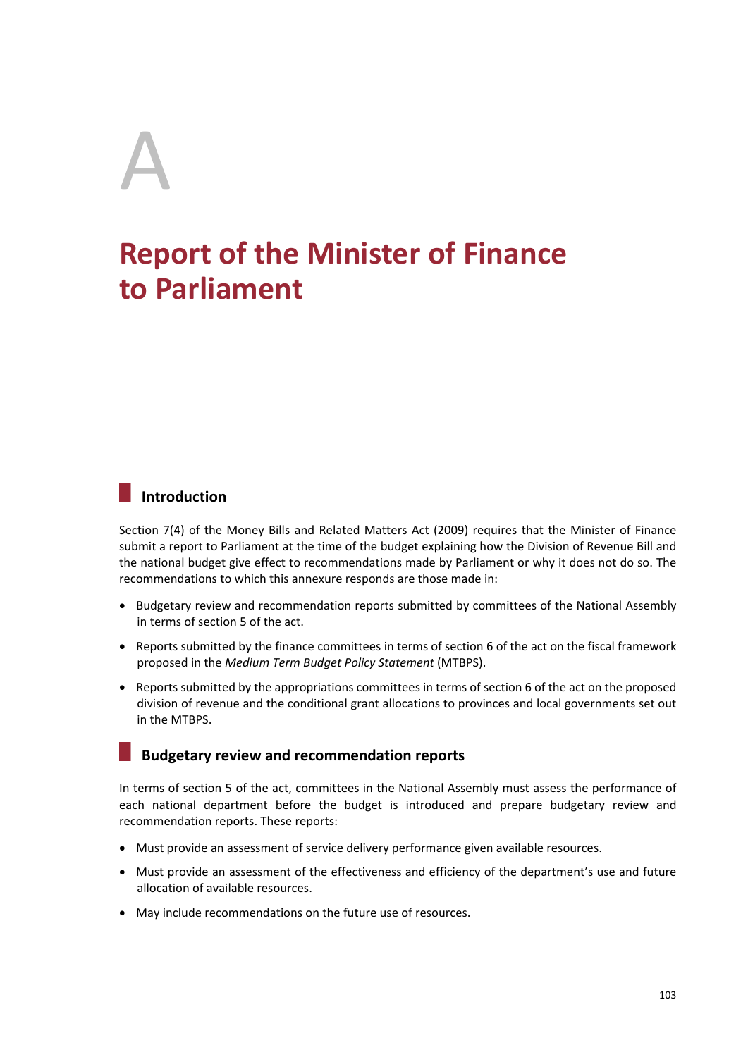# A

# **Report of the Minister of Finance to Parliament**

# **Introduction**

Section 7(4) of the Money Bills and Related Matters Act (2009) requires that the Minister of Finance submit a report to Parliament at the time of the budget explaining how the Division of Revenue Bill and the national budget give effect to recommendations made by Parliament or why it does not do so. The recommendations to which this annexure responds are those made in:

- Budgetary review and recommendation reports submitted by committees of the National Assembly in terms of section 5 of the act.
- Reports submitted by the finance committees in terms of section 6 of the act on the fiscal framework proposed in the *Medium Term Budget Policy Statement* (MTBPS).
- Reports submitted by the appropriations committees in terms of section 6 of the act on the proposed division of revenue and the conditional grant allocations to provinces and local governments set out in the MTBPS.

## **Budgetary review and recommendation reports**

In terms of section 5 of the act, committees in the National Assembly must assess the performance of each national department before the budget is introduced and prepare budgetary review and recommendation reports. These reports:

- Must provide an assessment of service delivery performance given available resources.
- Must provide an assessment of the effectiveness and efficiency of the department's use and future allocation of available resources.
- May include recommendations on the future use of resources.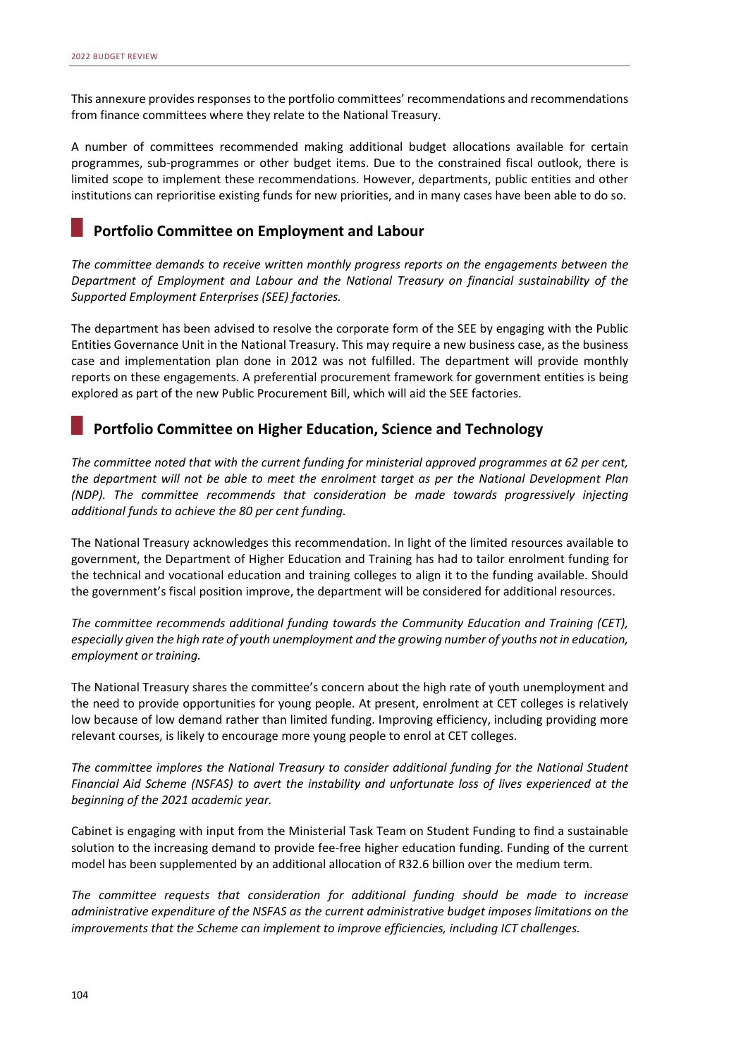This annexure provides responses to the portfolio committees' recommendations and recommendations from finance committees where they relate to the National Treasury.

A number of committees recommended making additional budget allocations available for certain programmes, sub‐programmes or other budget items. Due to the constrained fiscal outlook, there is limited scope to implement these recommendations. However, departments, public entities and other institutions can reprioritise existing funds for new priorities, and in many cases have been able to do so.

# **Portfolio Committee on Employment and Labour**

*The committee demands to receive written monthly progress reports on the engagements between the Department of Employment and Labour and the National Treasury on financial sustainability of the Supported Employment Enterprises (SEE) factories.* 

The department has been advised to resolve the corporate form of the SEE by engaging with the Public Entities Governance Unit in the National Treasury. This may require a new business case, as the business case and implementation plan done in 2012 was not fulfilled. The department will provide monthly reports on these engagements. A preferential procurement framework for government entities is being explored as part of the new Public Procurement Bill, which will aid the SEE factories.

## **Portfolio Committee on Higher Education, Science and Technology**

*The committee noted that with the current funding for ministerial approved programmes at 62 per cent, the department will not be able to meet the enrolment target as per the National Development Plan (NDP). The committee recommends that consideration be made towards progressively injecting additional funds to achieve the 80 per cent funding.* 

The National Treasury acknowledges this recommendation. In light of the limited resources available to government, the Department of Higher Education and Training has had to tailor enrolment funding for the technical and vocational education and training colleges to align it to the funding available. Should the government's fiscal position improve, the department will be considered for additional resources.

*The committee recommends additional funding towards the Community Education and Training (CET), especially given the high rate of youth unemployment and the growing number of youths not in education, employment or training.* 

The National Treasury shares the committee's concern about the high rate of youth unemployment and the need to provide opportunities for young people. At present, enrolment at CET colleges is relatively low because of low demand rather than limited funding. Improving efficiency, including providing more relevant courses, is likely to encourage more young people to enrol at CET colleges.

*The committee implores the National Treasury to consider additional funding for the National Student Financial Aid Scheme (NSFAS) to avert the instability and unfortunate loss of lives experienced at the beginning of the 2021 academic year.* 

Cabinet is engaging with input from the Ministerial Task Team on Student Funding to find a sustainable solution to the increasing demand to provide fee‐free higher education funding. Funding of the current model has been supplemented by an additional allocation of R32.6 billion over the medium term.

*The committee requests that consideration for additional funding should be made to increase administrative expenditure of the NSFAS as the current administrative budget imposes limitations on the improvements that the Scheme can implement to improve efficiencies, including ICT challenges.*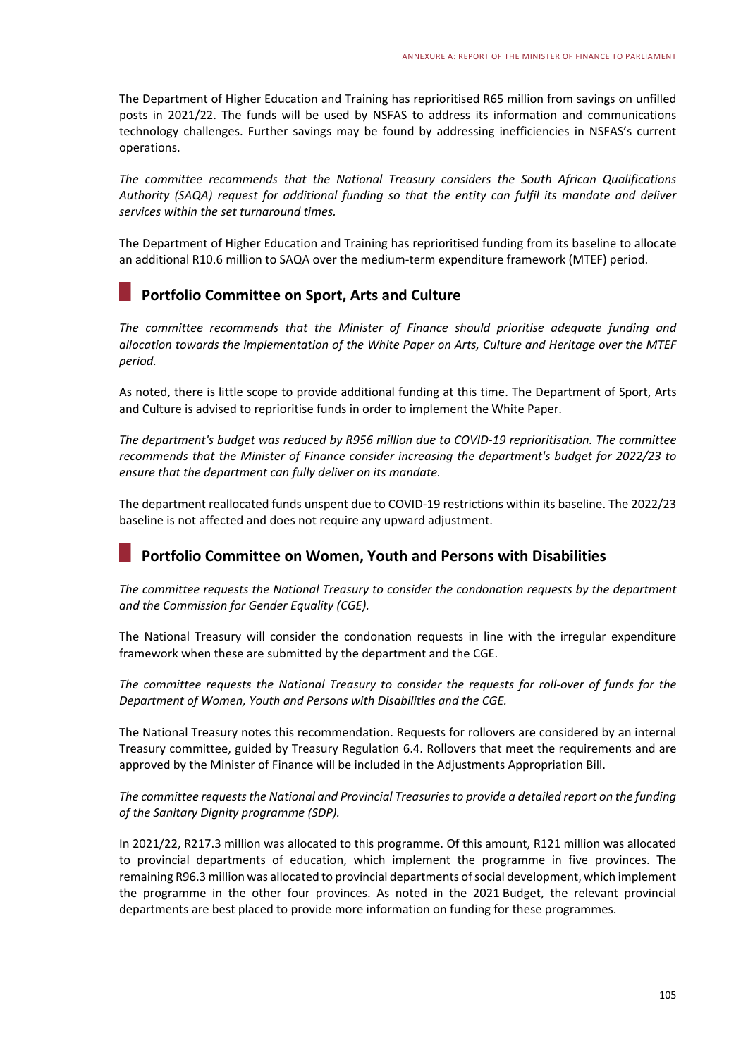The Department of Higher Education and Training has reprioritised R65 million from savings on unfilled posts in 2021/22. The funds will be used by NSFAS to address its information and communications technology challenges. Further savings may be found by addressing inefficiencies in NSFAS's current operations.

*The committee recommends that the National Treasury considers the South African Qualifications Authority (SAQA) request for additional funding so that the entity can fulfil its mandate and deliver services within the set turnaround times.* 

The Department of Higher Education and Training has reprioritised funding from its baseline to allocate an additional R10.6 million to SAQA over the medium-term expenditure framework (MTEF) period.

# **Portfolio Committee on Sport, Arts and Culture**

*The committee recommends that the Minister of Finance should prioritise adequate funding and allocation towards the implementation of the White Paper on Arts, Culture and Heritage over the MTEF period.* 

As noted, there is little scope to provide additional funding at this time. The Department of Sport, Arts and Culture is advised to reprioritise funds in order to implement the White Paper.

*The department's budget was reduced by R956 million due to COVID‐19 reprioritisation. The committee recommends that the Minister of Finance consider increasing the department's budget for 2022/23 to ensure that the department can fully deliver on its mandate.* 

The department reallocated funds unspent due to COVID‐19 restrictions within its baseline. The 2022/23 baseline is not affected and does not require any upward adjustment.

# **Portfolio Committee on Women, Youth and Persons with Disabilities**

*The committee requests the National Treasury to consider the condonation requests by the department and the Commission for Gender Equality (CGE).* 

The National Treasury will consider the condonation requests in line with the irregular expenditure framework when these are submitted by the department and the CGE.

*The committee requests the National Treasury to consider the requests for roll‐over of funds for the Department of Women, Youth and Persons with Disabilities and the CGE.* 

The National Treasury notes this recommendation. Requests for rollovers are considered by an internal Treasury committee, guided by Treasury Regulation 6.4. Rollovers that meet the requirements and are approved by the Minister of Finance will be included in the Adjustments Appropriation Bill.

#### *The committee requests the National and Provincial Treasuries to provide a detailed report on the funding of the Sanitary Dignity programme (SDP).*

In 2021/22, R217.3 million was allocated to this programme. Of this amount, R121 million was allocated to provincial departments of education, which implement the programme in five provinces. The remaining R96.3 million was allocated to provincial departments of social development, which implement the programme in the other four provinces. As noted in the 2021 Budget, the relevant provincial departments are best placed to provide more information on funding for these programmes.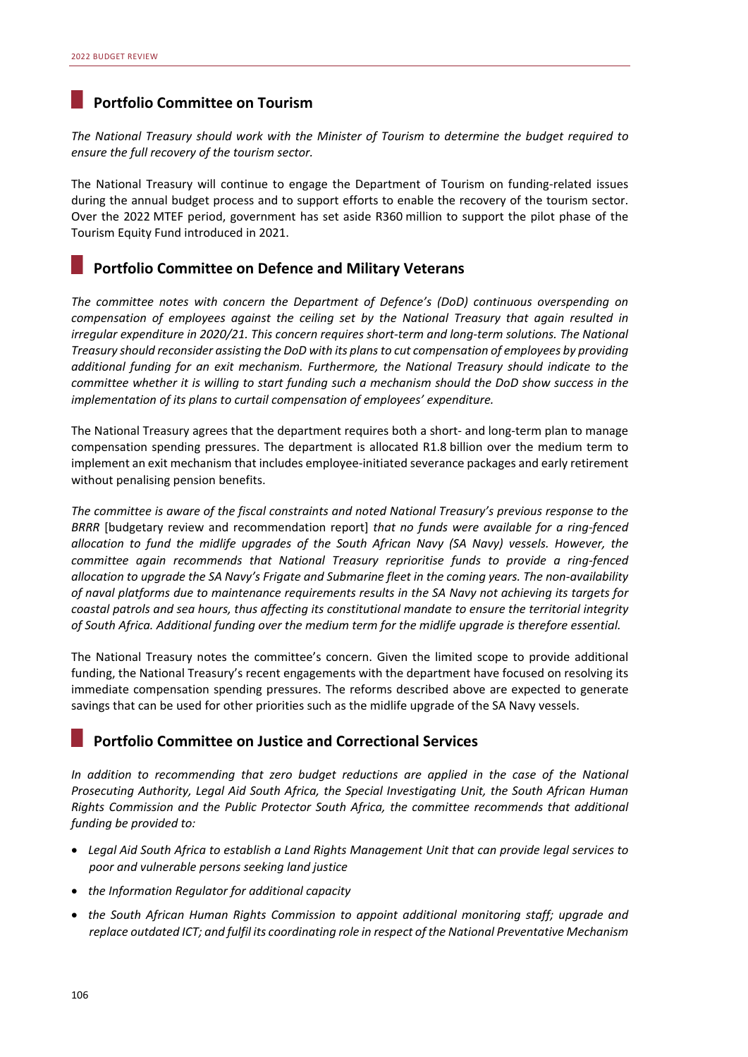## **Portfolio Committee on Tourism**

*The National Treasury should work with the Minister of Tourism to determine the budget required to ensure the full recovery of the tourism sector.* 

The National Treasury will continue to engage the Department of Tourism on funding-related issues during the annual budget process and to support efforts to enable the recovery of the tourism sector. Over the 2022 MTEF period, government has set aside R360 million to support the pilot phase of the Tourism Equity Fund introduced in 2021.

# **Portfolio Committee on Defence and Military Veterans**

*The committee notes with concern the Department of Defence's (DoD) continuous overspending on compensation of employees against the ceiling set by the National Treasury that again resulted in irregular expenditure in 2020/21. This concern requires short‐term and long‐term solutions. The National Treasury should reconsider assisting the DoD with its plans to cut compensation of employees by providing additional funding for an exit mechanism. Furthermore, the National Treasury should indicate to the committee whether it is willing to start funding such a mechanism should the DoD show success in the implementation of its plans to curtail compensation of employees' expenditure.* 

The National Treasury agrees that the department requires both a short- and long-term plan to manage compensation spending pressures. The department is allocated R1.8 billion over the medium term to implement an exit mechanism that includes employee-initiated severance packages and early retirement without penalising pension benefits.

*The committee is aware of the fiscal constraints and noted National Treasury's previous response to the BRRR* [budgetary review and recommendation report] *that no funds were available for a ring‐fenced allocation to fund the midlife upgrades of the South African Navy (SA Navy) vessels. However, the committee again recommends that National Treasury reprioritise funds to provide a ring‐fenced allocation to upgrade the SA Navy's Frigate and Submarine fleet in the coming years. The non‐availability of naval platforms due to maintenance requirements results in the SA Navy not achieving its targets for coastal patrols and sea hours, thus affecting its constitutional mandate to ensure the territorial integrity of South Africa. Additional funding over the medium term for the midlife upgrade is therefore essential.* 

The National Treasury notes the committee's concern. Given the limited scope to provide additional funding, the National Treasury's recent engagements with the department have focused on resolving its immediate compensation spending pressures. The reforms described above are expected to generate savings that can be used for other priorities such as the midlife upgrade of the SA Navy vessels.

#### **Portfolio Committee on Justice and Correctional Services**

*In addition to recommending that zero budget reductions are applied in the case of the National Prosecuting Authority, Legal Aid South Africa, the Special Investigating Unit, the South African Human Rights Commission and the Public Protector South Africa, the committee recommends that additional funding be provided to:* 

- *Legal Aid South Africa to establish a Land Rights Management Unit that can provide legal services to poor and vulnerable persons seeking land justice*
- *the Information Regulator for additional capacity*
- *the South African Human Rights Commission to appoint additional monitoring staff; upgrade and replace outdated ICT; and fulfil its coordinating role in respect of the National Preventative Mechanism*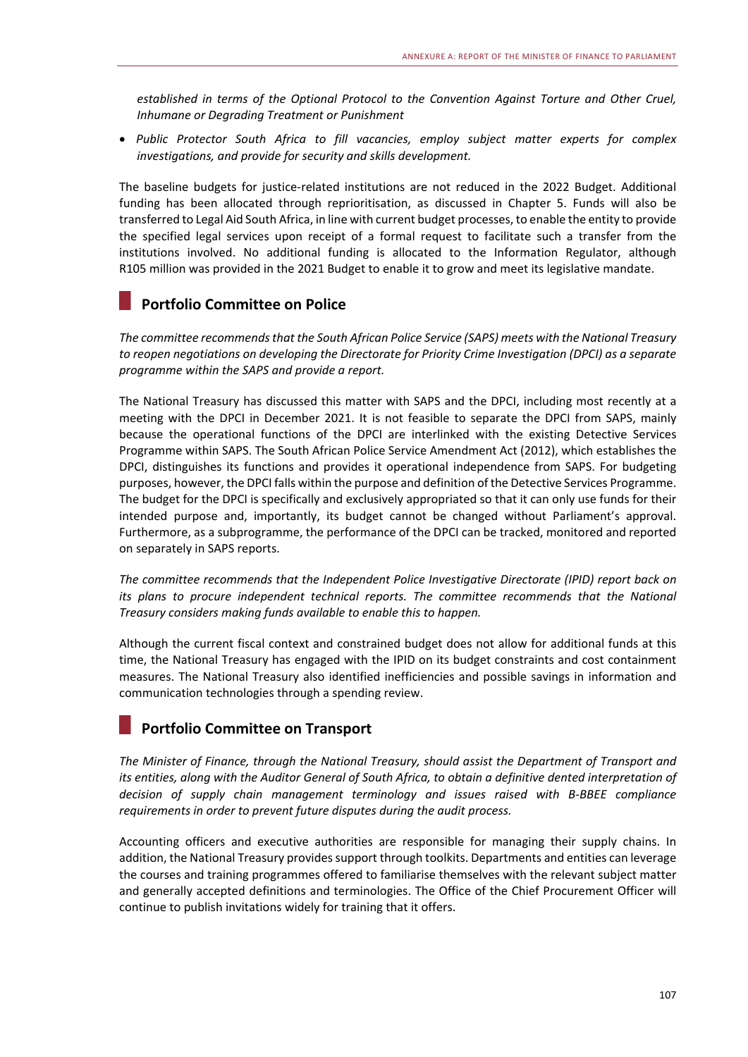*established in terms of the Optional Protocol to the Convention Against Torture and Other Cruel, Inhumane or Degrading Treatment or Punishment* 

 *Public Protector South Africa to fill vacancies, employ subject matter experts for complex investigations, and provide for security and skills development.* 

The baseline budgets for iustice-related institutions are not reduced in the 2022 Budget. Additional funding has been allocated through reprioritisation, as discussed in Chapter 5. Funds will also be transferred to Legal Aid South Africa, in line with current budget processes, to enable the entity to provide the specified legal services upon receipt of a formal request to facilitate such a transfer from the institutions involved. No additional funding is allocated to the Information Regulator, although R105 million was provided in the 2021 Budget to enable it to grow and meet its legislative mandate.

# **Portfolio Committee on Police**

*The committee recommends that the South African Police Service (SAPS) meets with the National Treasury to reopen negotiations on developing the Directorate for Priority Crime Investigation (DPCI) as a separate programme within the SAPS and provide a report.* 

The National Treasury has discussed this matter with SAPS and the DPCI, including most recently at a meeting with the DPCI in December 2021. It is not feasible to separate the DPCI from SAPS, mainly because the operational functions of the DPCI are interlinked with the existing Detective Services Programme within SAPS. The South African Police Service Amendment Act (2012), which establishes the DPCI, distinguishes its functions and provides it operational independence from SAPS. For budgeting purposes, however, the DPCI falls within the purpose and definition of the Detective Services Programme. The budget for the DPCI is specifically and exclusively appropriated so that it can only use funds for their intended purpose and, importantly, its budget cannot be changed without Parliament's approval. Furthermore, as a subprogramme, the performance of the DPCI can be tracked, monitored and reported on separately in SAPS reports.

*The committee recommends that the Independent Police Investigative Directorate (IPID) report back on its plans to procure independent technical reports. The committee recommends that the National Treasury considers making funds available to enable this to happen.* 

Although the current fiscal context and constrained budget does not allow for additional funds at this time, the National Treasury has engaged with the IPID on its budget constraints and cost containment measures. The National Treasury also identified inefficiencies and possible savings in information and communication technologies through a spending review.

# **Portfolio Committee on Transport**

*The Minister of Finance, through the National Treasury, should assist the Department of Transport and its entities, along with the Auditor General of South Africa, to obtain a definitive dented interpretation of decision of supply chain management terminology and issues raised with B‐BBEE compliance requirements in order to prevent future disputes during the audit process.* 

Accounting officers and executive authorities are responsible for managing their supply chains. In addition, the National Treasury provides support through toolkits. Departments and entities can leverage the courses and training programmes offered to familiarise themselves with the relevant subject matter and generally accepted definitions and terminologies. The Office of the Chief Procurement Officer will continue to publish invitations widely for training that it offers.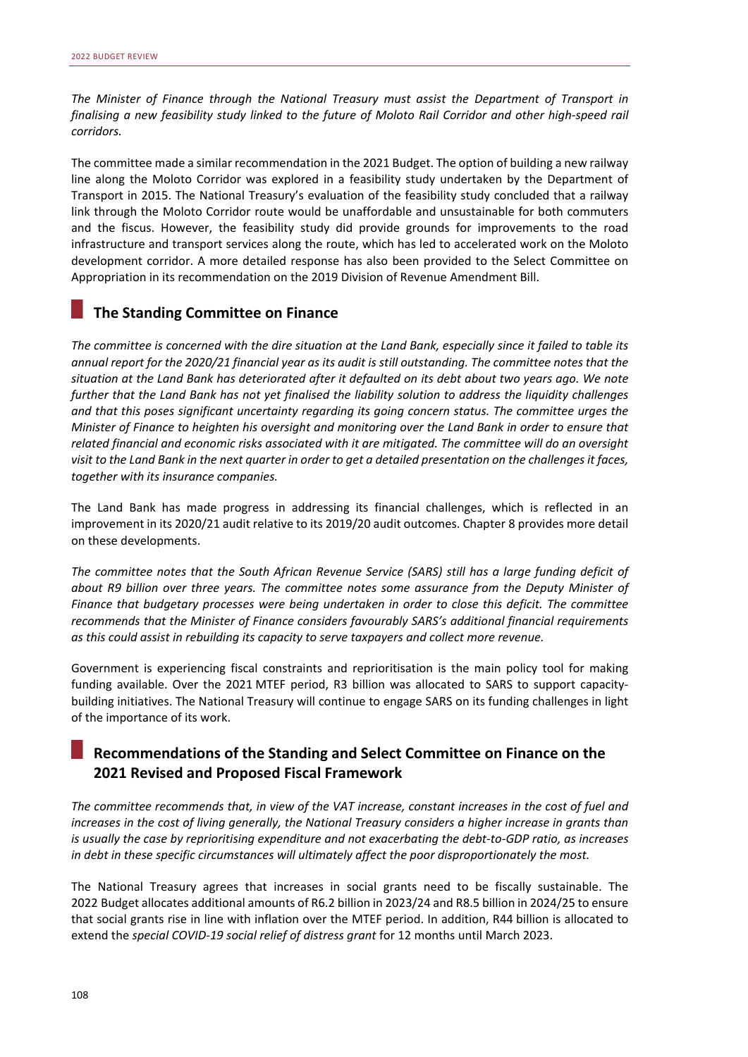*The Minister of Finance through the National Treasury must assist the Department of Transport in finalising a new feasibility study linked to the future of Moloto Rail Corridor and other high‐speed rail corridors.* 

The committee made a similar recommendation in the 2021 Budget. The option of building a new railway line along the Moloto Corridor was explored in a feasibility study undertaken by the Department of Transport in 2015. The National Treasury's evaluation of the feasibility study concluded that a railway link through the Moloto Corridor route would be unaffordable and unsustainable for both commuters and the fiscus. However, the feasibility study did provide grounds for improvements to the road infrastructure and transport services along the route, which has led to accelerated work on the Moloto development corridor. A more detailed response has also been provided to the Select Committee on Appropriation in its recommendation on the 2019 Division of Revenue Amendment Bill.

## **The Standing Committee on Finance**

*The committee is concerned with the dire situation at the Land Bank, especially since it failed to table its annual report for the 2020/21 financial year as its audit is still outstanding. The committee notes that the situation at the Land Bank has deteriorated after it defaulted on its debt about two years ago. We note further that the Land Bank has not yet finalised the liability solution to address the liquidity challenges and that this poses significant uncertainty regarding its going concern status. The committee urges the Minister of Finance to heighten his oversight and monitoring over the Land Bank in order to ensure that related financial and economic risks associated with it are mitigated. The committee will do an oversight visit to the Land Bank in the next quarter in order to get a detailed presentation on the challenges it faces, together with its insurance companies.* 

The Land Bank has made progress in addressing its financial challenges, which is reflected in an improvement in its 2020/21 audit relative to its 2019/20 audit outcomes. Chapter 8 provides more detail on these developments.

*The committee notes that the South African Revenue Service (SARS) still has a large funding deficit of about R9 billion over three years. The committee notes some assurance from the Deputy Minister of Finance that budgetary processes were being undertaken in order to close this deficit. The committee recommends that the Minister of Finance considers favourably SARS's additional financial requirements as this could assist in rebuilding its capacity to serve taxpayers and collect more revenue.* 

Government is experiencing fiscal constraints and reprioritisation is the main policy tool for making funding available. Over the 2021 MTEF period, R3 billion was allocated to SARS to support capacitybuilding initiatives. The National Treasury will continue to engage SARS on its funding challenges in light of the importance of its work.

# **Recommendations of the Standing and Select Committee on Finance on the 2021 Revised and Proposed Fiscal Framework**

*The committee recommends that, in view of the VAT increase, constant increases in the cost of fuel and increases in the cost of living generally, the National Treasury considers a higher increase in grants than is usually the case by reprioritising expenditure and not exacerbating the debt‐to‐GDP ratio, as increases in debt in these specific circumstances will ultimately affect the poor disproportionately the most.* 

The National Treasury agrees that increases in social grants need to be fiscally sustainable. The 2022 Budget allocates additional amounts of R6.2 billion in 2023/24 and R8.5 billion in 2024/25 to ensure that social grants rise in line with inflation over the MTEF period. In addition, R44 billion is allocated to extend the *special COVID‐19 social relief of distress grant* for 12 months until March 2023.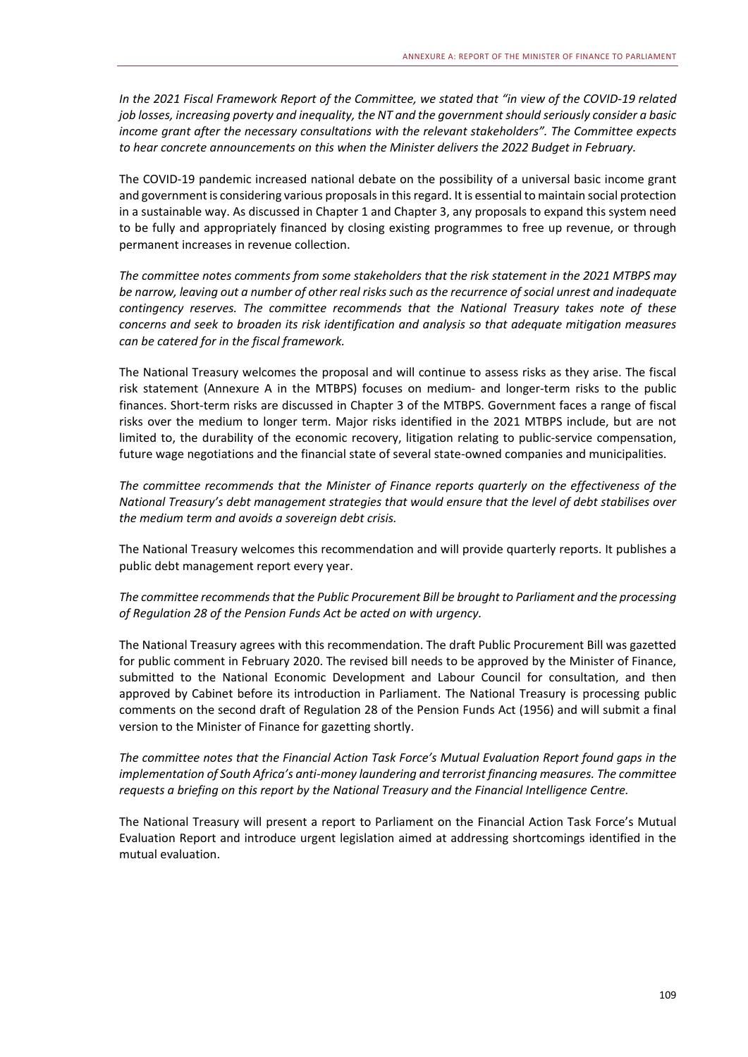*In the 2021 Fiscal Framework Report of the Committee, we stated that "in view of the COVID‐19 related job losses, increasing poverty and inequality, the NT and the government should seriously consider a basic income grant after the necessary consultations with the relevant stakeholders". The Committee expects to hear concrete announcements on this when the Minister delivers the 2022 Budget in February.* 

The COVID‐19 pandemic increased national debate on the possibility of a universal basic income grant and government is considering various proposals in this regard. It is essential to maintain social protection in a sustainable way. As discussed in Chapter 1 and Chapter 3, any proposals to expand this system need to be fully and appropriately financed by closing existing programmes to free up revenue, or through permanent increases in revenue collection.

*The committee notes comments from some stakeholders that the risk statement in the 2021 MTBPS may be narrow, leaving out a number of other real risks such as the recurrence of social unrest and inadequate contingency reserves. The committee recommends that the National Treasury takes note of these concerns and seek to broaden its risk identification and analysis so that adequate mitigation measures can be catered for in the fiscal framework.* 

The National Treasury welcomes the proposal and will continue to assess risks as they arise. The fiscal risk statement (Annexure A in the MTBPS) focuses on medium‐ and longer‐term risks to the public finances. Short-term risks are discussed in Chapter 3 of the MTBPS. Government faces a range of fiscal risks over the medium to longer term. Major risks identified in the 2021 MTBPS include, but are not limited to, the durability of the economic recovery, litigation relating to public-service compensation, future wage negotiations and the financial state of several state-owned companies and municipalities.

*The committee recommends that the Minister of Finance reports quarterly on the effectiveness of the National Treasury's debt management strategies that would ensure that the level of debt stabilises over the medium term and avoids a sovereign debt crisis.* 

The National Treasury welcomes this recommendation and will provide quarterly reports. It publishes a public debt management report every year.

#### *The committee recommends that the Public Procurement Bill be brought to Parliament and the processing of Regulation 28 of the Pension Funds Act be acted on with urgency.*

The National Treasury agrees with this recommendation. The draft Public Procurement Bill was gazetted for public comment in February 2020. The revised bill needs to be approved by the Minister of Finance, submitted to the National Economic Development and Labour Council for consultation, and then approved by Cabinet before its introduction in Parliament. The National Treasury is processing public comments on the second draft of Regulation 28 of the Pension Funds Act (1956) and will submit a final version to the Minister of Finance for gazetting shortly.

*The committee notes that the Financial Action Task Force's Mutual Evaluation Report found gaps in the implementation of South Africa's anti‐money laundering and terrorist financing measures. The committee requests a briefing on this report by the National Treasury and the Financial Intelligence Centre.* 

The National Treasury will present a report to Parliament on the Financial Action Task Force's Mutual Evaluation Report and introduce urgent legislation aimed at addressing shortcomings identified in the mutual evaluation.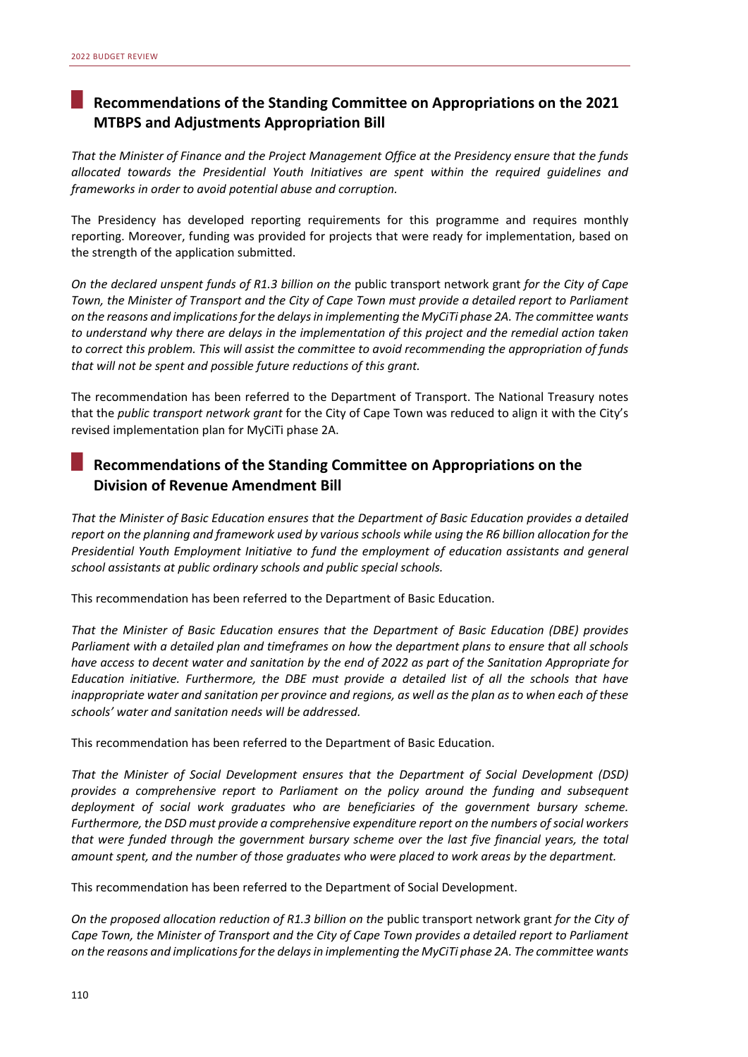# **Recommendations of the Standing Committee on Appropriations on the 2021 MTBPS and Adjustments Appropriation Bill**

*That the Minister of Finance and the Project Management Office at the Presidency ensure that the funds allocated towards the Presidential Youth Initiatives are spent within the required guidelines and frameworks in order to avoid potential abuse and corruption.* 

The Presidency has developed reporting requirements for this programme and requires monthly reporting. Moreover, funding was provided for projects that were ready for implementation, based on the strength of the application submitted.

*On the declared unspent funds of R1.3 billion on the* public transport network grant *for the City of Cape Town, the Minister of Transport and the City of Cape Town must provide a detailed report to Parliament on the reasons and implications for the delays in implementing the MyCiTi phase 2A. The committee wants to understand why there are delays in the implementation of this project and the remedial action taken to correct this problem. This will assist the committee to avoid recommending the appropriation of funds that will not be spent and possible future reductions of this grant.* 

The recommendation has been referred to the Department of Transport. The National Treasury notes that the *public transport network grant* for the City of Cape Town was reduced to align it with the City's revised implementation plan for MyCiTi phase 2A.

# **Recommendations of the Standing Committee on Appropriations on the Division of Revenue Amendment Bill**

*That the Minister of Basic Education ensures that the Department of Basic Education provides a detailed report on the planning and framework used by various schools while using the R6 billion allocation for the Presidential Youth Employment Initiative to fund the employment of education assistants and general school assistants at public ordinary schools and public special schools.* 

This recommendation has been referred to the Department of Basic Education.

*That the Minister of Basic Education ensures that the Department of Basic Education (DBE) provides Parliament with a detailed plan and timeframes on how the department plans to ensure that all schools have access to decent water and sanitation by the end of 2022 as part of the Sanitation Appropriate for Education initiative. Furthermore, the DBE must provide a detailed list of all the schools that have inappropriate water and sanitation per province and regions, as well as the plan as to when each of these schools' water and sanitation needs will be addressed.* 

This recommendation has been referred to the Department of Basic Education.

*That the Minister of Social Development ensures that the Department of Social Development (DSD) provides a comprehensive report to Parliament on the policy around the funding and subsequent deployment of social work graduates who are beneficiaries of the government bursary scheme. Furthermore, the DSD must provide a comprehensive expenditure report on the numbers of social workers that were funded through the government bursary scheme over the last five financial years, the total amount spent, and the number of those graduates who were placed to work areas by the department.* 

This recommendation has been referred to the Department of Social Development.

*On the proposed allocation reduction of R1.3 billion on the* public transport network grant *for the City of Cape Town, the Minister of Transport and the City of Cape Town provides a detailed report to Parliament on the reasons and implications for the delays in implementing the MyCiTi phase 2A. The committee wants*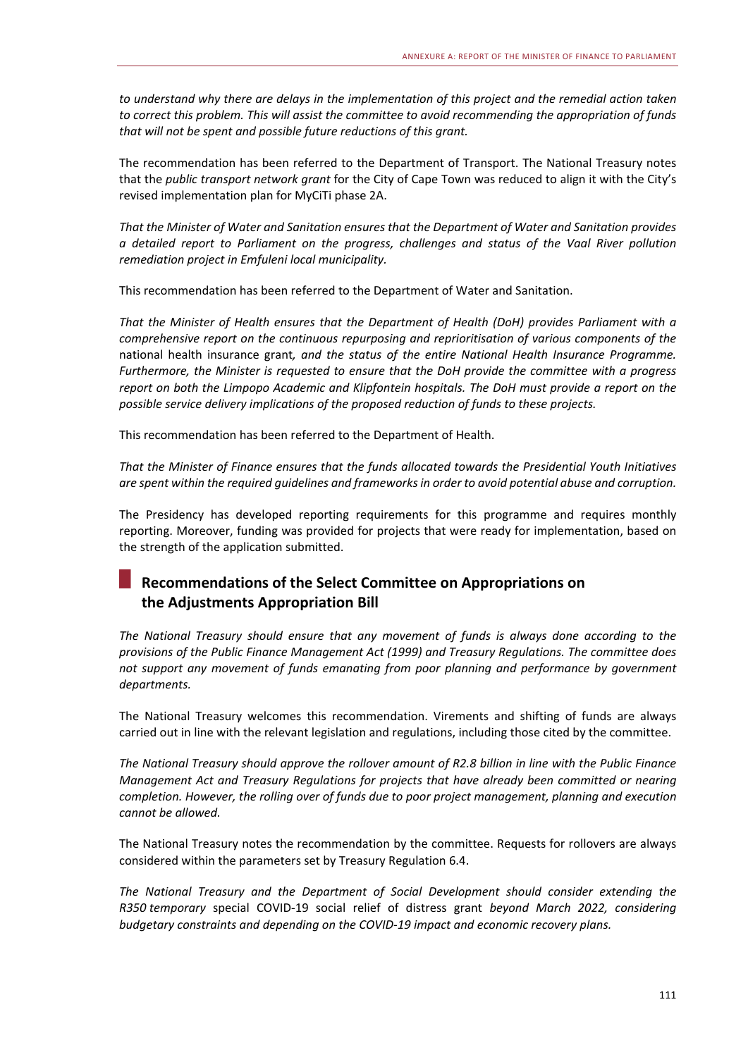*to understand why there are delays in the implementation of this project and the remedial action taken to correct this problem. This will assist the committee to avoid recommending the appropriation of funds that will not be spent and possible future reductions of this grant.* 

The recommendation has been referred to the Department of Transport. The National Treasury notes that the *public transport network grant* for the City of Cape Town was reduced to align it with the City's revised implementation plan for MyCiTi phase 2A.

*That the Minister of Water and Sanitation ensures that the Department of Water and Sanitation provides a detailed report to Parliament on the progress, challenges and status of the Vaal River pollution remediation project in Emfuleni local municipality.* 

This recommendation has been referred to the Department of Water and Sanitation.

*That the Minister of Health ensures that the Department of Health (DoH) provides Parliament with a comprehensive report on the continuous repurposing and reprioritisation of various components of the*  national health insurance grant*, and the status of the entire National Health Insurance Programme. Furthermore, the Minister is requested to ensure that the DoH provide the committee with a progress report on both the Limpopo Academic and Klipfontein hospitals. The DoH must provide a report on the possible service delivery implications of the proposed reduction of funds to these projects.* 

This recommendation has been referred to the Department of Health.

*That the Minister of Finance ensures that the funds allocated towards the Presidential Youth Initiatives are spent within the required guidelines and frameworks in order to avoid potential abuse and corruption.* 

The Presidency has developed reporting requirements for this programme and requires monthly reporting. Moreover, funding was provided for projects that were ready for implementation, based on the strength of the application submitted.

# **Recommendations of the Select Committee on Appropriations on the Adjustments Appropriation Bill**

*The National Treasury should ensure that any movement of funds is always done according to the provisions of the Public Finance Management Act (1999) and Treasury Regulations. The committee does not support any movement of funds emanating from poor planning and performance by government departments.* 

The National Treasury welcomes this recommendation. Virements and shifting of funds are always carried out in line with the relevant legislation and regulations, including those cited by the committee.

*The National Treasury should approve the rollover amount of R2.8 billion in line with the Public Finance Management Act and Treasury Regulations for projects that have already been committed or nearing completion. However, the rolling over of funds due to poor project management, planning and execution cannot be allowed.* 

The National Treasury notes the recommendation by the committee. Requests for rollovers are always considered within the parameters set by Treasury Regulation 6.4.

*The National Treasury and the Department of Social Development should consider extending the R350 temporary*  special COVID‐19 social relief of distress grant *beyond March 2022, considering budgetary constraints and depending on the COVID‐19 impact and economic recovery plans.*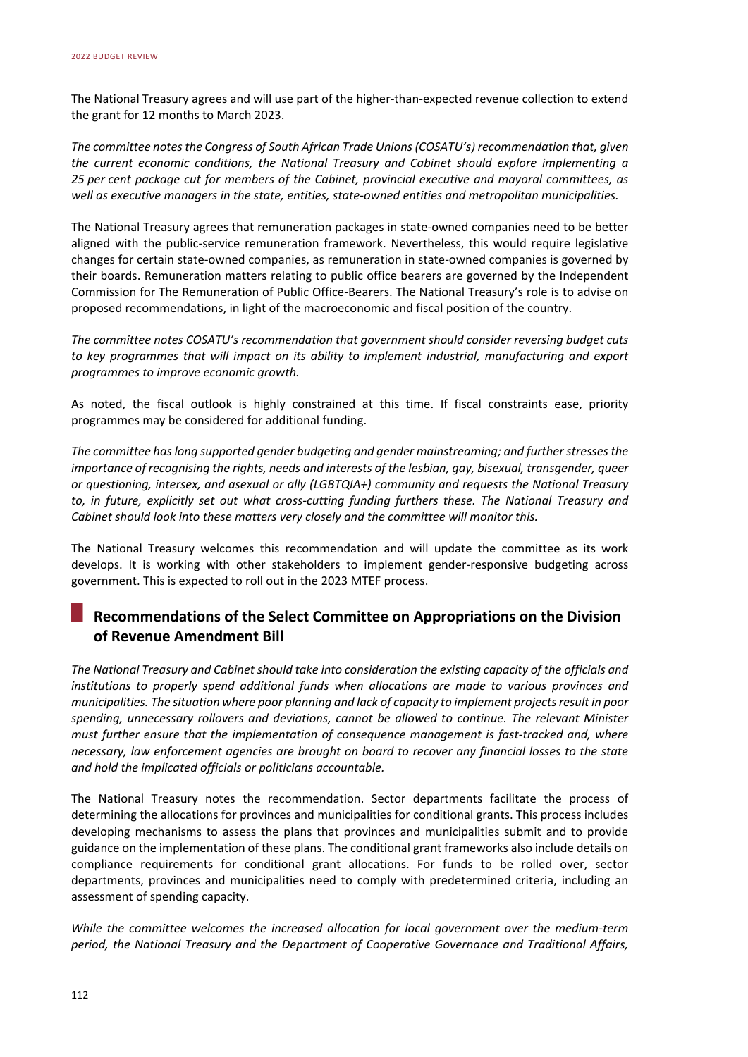The National Treasury agrees and will use part of the higher‐than‐expected revenue collection to extend the grant for 12 months to March 2023.

*The committee notes the Congress of South African Trade Unions (COSATU's) recommendation that, given the current economic conditions, the National Treasury and Cabinet should explore implementing a 25 per cent package cut for members of the Cabinet, provincial executive and mayoral committees, as well as executive managers in the state, entities, state‐owned entities and metropolitan municipalities.*

The National Treasury agrees that remuneration packages in state‐owned companies need to be better aligned with the public-service remuneration framework. Nevertheless, this would require legislative changes for certain state‐owned companies, as remuneration in state‐owned companies is governed by their boards. Remuneration matters relating to public office bearers are governed by the Independent Commission for The Remuneration of Public Office‐Bearers. The National Treasury's role is to advise on proposed recommendations, in light of the macroeconomic and fiscal position of the country.

*The committee notes COSATU's recommendation that government should consider reversing budget cuts*  to key programmes that will impact on its ability to implement industrial, manufacturing and export *programmes to improve economic growth.* 

As noted, the fiscal outlook is highly constrained at this time. If fiscal constraints ease, priority programmes may be considered for additional funding.

*The committee has long supported gender budgeting and gender mainstreaming; and further stresses the importance of recognising the rights, needs and interests of the lesbian, gay, bisexual, transgender, queer or questioning, intersex, and asexual or ally (LGBTQIA+) community and requests the National Treasury to, in future, explicitly set out what cross‐cutting funding furthers these. The National Treasury and Cabinet should look into these matters very closely and the committee will monitor this.* 

The National Treasury welcomes this recommendation and will update the committee as its work develops. It is working with other stakeholders to implement gender-responsive budgeting across government. This is expected to roll out in the 2023 MTEF process.

# **Recommendations of the Select Committee on Appropriations on the Division of Revenue Amendment Bill**

*The National Treasury and Cabinet should take into consideration the existing capacity of the officials and institutions to properly spend additional funds when allocations are made to various provinces and municipalities. The situation where poor planning and lack of capacity to implement projects result in poor spending, unnecessary rollovers and deviations, cannot be allowed to continue. The relevant Minister must further ensure that the implementation of consequence management is fast‐tracked and, where necessary, law enforcement agencies are brought on board to recover any financial losses to the state and hold the implicated officials or politicians accountable.* 

The National Treasury notes the recommendation. Sector departments facilitate the process of determining the allocations for provinces and municipalities for conditional grants. This process includes developing mechanisms to assess the plans that provinces and municipalities submit and to provide guidance on the implementation of these plans. The conditional grant frameworks also include details on compliance requirements for conditional grant allocations. For funds to be rolled over, sector departments, provinces and municipalities need to comply with predetermined criteria, including an assessment of spending capacity.

*While the committee welcomes the increased allocation for local government over the medium‐term period, the National Treasury and the Department of Cooperative Governance and Traditional Affairs,*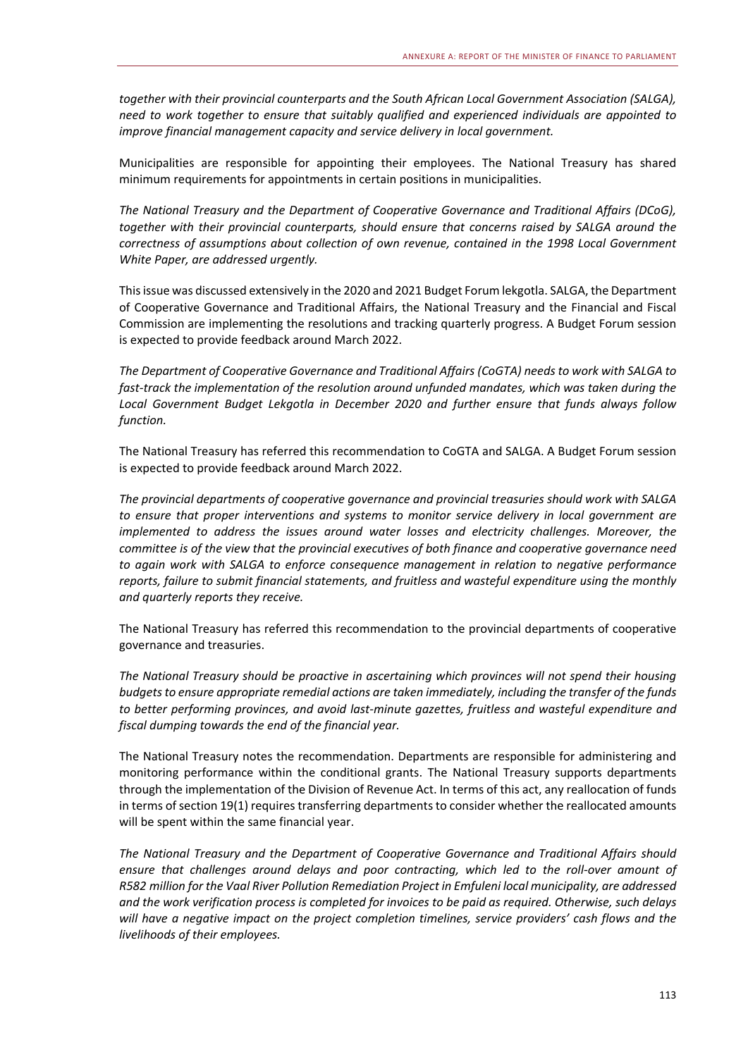*together with their provincial counterparts and the South African Local Government Association (SALGA), need to work together to ensure that suitably qualified and experienced individuals are appointed to improve financial management capacity and service delivery in local government.* 

Municipalities are responsible for appointing their employees. The National Treasury has shared minimum requirements for appointments in certain positions in municipalities.

*The National Treasury and the Department of Cooperative Governance and Traditional Affairs (DCoG), together with their provincial counterparts, should ensure that concerns raised by SALGA around the correctness of assumptions about collection of own revenue, contained in the 1998 Local Government White Paper, are addressed urgently.* 

This issue was discussed extensively in the 2020 and 2021 Budget Forum lekgotla. SALGA, the Department of Cooperative Governance and Traditional Affairs, the National Treasury and the Financial and Fiscal Commission are implementing the resolutions and tracking quarterly progress. A Budget Forum session is expected to provide feedback around March 2022.

*The Department of Cooperative Governance and Traditional Affairs (CoGTA) needs to work with SALGA to fast‐track the implementation of the resolution around unfunded mandates, which was taken during the Local Government Budget Lekgotla in December 2020 and further ensure that funds always follow function.* 

The National Treasury has referred this recommendation to CoGTA and SALGA. A Budget Forum session is expected to provide feedback around March 2022.

*The provincial departments of cooperative governance and provincial treasuries should work with SALGA to ensure that proper interventions and systems to monitor service delivery in local government are implemented to address the issues around water losses and electricity challenges. Moreover, the committee is of the view that the provincial executives of both finance and cooperative governance need to again work with SALGA to enforce consequence management in relation to negative performance reports, failure to submit financial statements, and fruitless and wasteful expenditure using the monthly and quarterly reports they receive.* 

The National Treasury has referred this recommendation to the provincial departments of cooperative governance and treasuries.

*The National Treasury should be proactive in ascertaining which provinces will not spend their housing budgets to ensure appropriate remedial actions are taken immediately, including the transfer of the funds to better performing provinces, and avoid last‐minute gazettes, fruitless and wasteful expenditure and fiscal dumping towards the end of the financial year.* 

The National Treasury notes the recommendation. Departments are responsible for administering and monitoring performance within the conditional grants. The National Treasury supports departments through the implementation of the Division of Revenue Act. In terms of this act, any reallocation of funds in terms of section 19(1) requires transferring departments to consider whether the reallocated amounts will be spent within the same financial year.

*The National Treasury and the Department of Cooperative Governance and Traditional Affairs should ensure that challenges around delays and poor contracting, which led to the roll‐over amount of R582 million for the Vaal River Pollution Remediation Project in Emfuleni local municipality, are addressed and the work verification process is completed for invoices to be paid as required. Otherwise, such delays will have a negative impact on the project completion timelines, service providers' cash flows and the livelihoods of their employees.*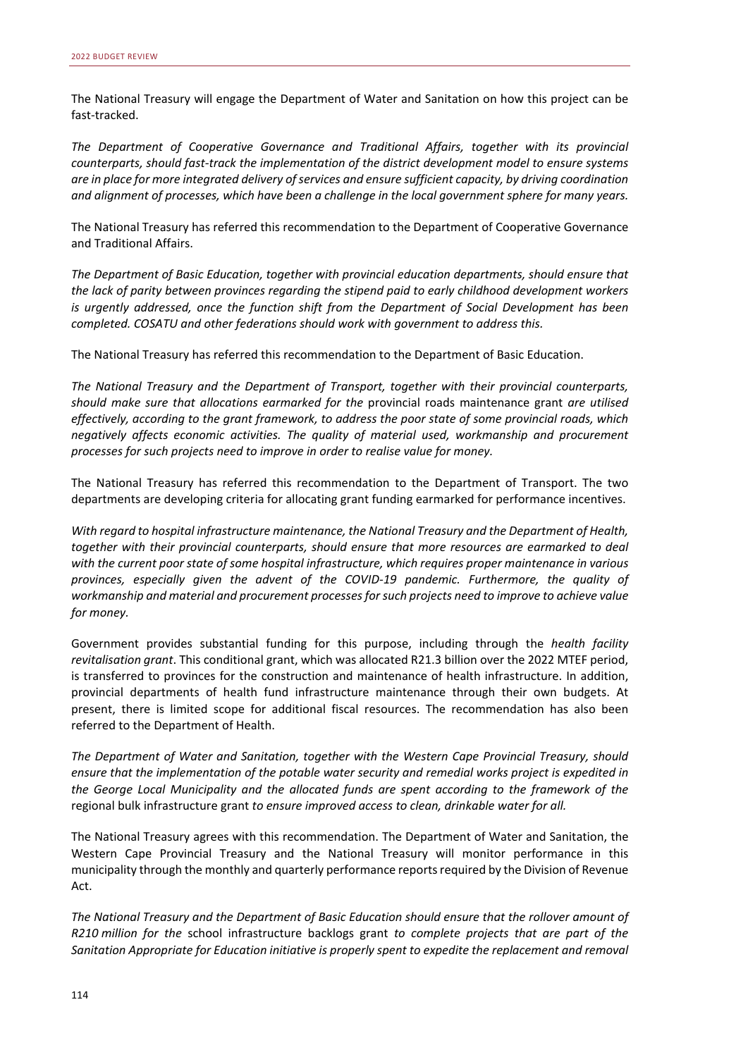The National Treasury will engage the Department of Water and Sanitation on how this project can be fast‐tracked.

*The Department of Cooperative Governance and Traditional Affairs, together with its provincial counterparts, should fast‐track the implementation of the district development model to ensure systems are in place for more integrated delivery of services and ensure sufficient capacity, by driving coordination and alignment of processes, which have been a challenge in the local government sphere for many years.* 

The National Treasury has referred this recommendation to the Department of Cooperative Governance and Traditional Affairs.

*The Department of Basic Education, together with provincial education departments, should ensure that the lack of parity between provinces regarding the stipend paid to early childhood development workers is urgently addressed, once the function shift from the Department of Social Development has been completed. COSATU and other federations should work with government to address this.* 

The National Treasury has referred this recommendation to the Department of Basic Education.

*The National Treasury and the Department of Transport, together with their provincial counterparts, should make sure that allocations earmarked for the*  provincial roads maintenance grant *are utilised effectively, according to the grant framework, to address the poor state of some provincial roads, which negatively affects economic activities. The quality of material used, workmanship and procurement processes for such projects need to improve in order to realise value for money.* 

The National Treasury has referred this recommendation to the Department of Transport. The two departments are developing criteria for allocating grant funding earmarked for performance incentives.

*With regard to hospital infrastructure maintenance, the National Treasury and the Department of Health, together with their provincial counterparts, should ensure that more resources are earmarked to deal with the current poor state of some hospital infrastructure, which requires proper maintenance in various provinces, especially given the advent of the COVID‐19 pandemic. Furthermore, the quality of workmanship and material and procurement processes for such projects need to improve to achieve value for money.* 

Government provides substantial funding for this purpose, including through the *health facility revitalisation grant*. This conditional grant, which was allocated R21.3 billion over the 2022 MTEF period, is transferred to provinces for the construction and maintenance of health infrastructure. In addition, provincial departments of health fund infrastructure maintenance through their own budgets. At present, there is limited scope for additional fiscal resources. The recommendation has also been referred to the Department of Health.

*The Department of Water and Sanitation, together with the Western Cape Provincial Treasury, should ensure that the implementation of the potable water security and remedial works project is expedited in the George Local Municipality and the allocated funds are spent according to the framework of the*  regional bulk infrastructure grant *to ensure improved access to clean, drinkable water for all.* 

The National Treasury agrees with this recommendation. The Department of Water and Sanitation, the Western Cape Provincial Treasury and the National Treasury will monitor performance in this municipality through the monthly and quarterly performance reports required by the Division of Revenue Act.

*The National Treasury and the Department of Basic Education should ensure that the rollover amount of R210 million for the*  school infrastructure backlogs grant *to complete projects that are part of the Sanitation Appropriate for Education initiative is properly spent to expedite the replacement and removal*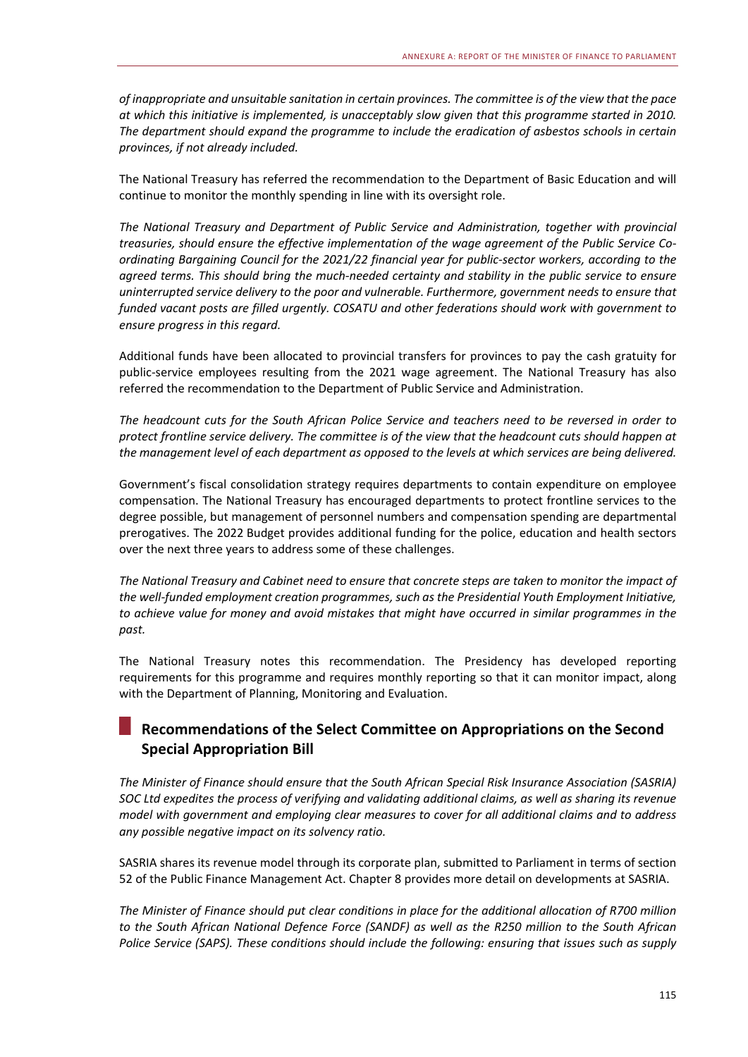*of inappropriate and unsuitable sanitation in certain provinces. The committee is of the view that the pace at which this initiative is implemented, is unacceptably slow given that this programme started in 2010. The department should expand the programme to include the eradication of asbestos schools in certain provinces, if not already included.* 

The National Treasury has referred the recommendation to the Department of Basic Education and will continue to monitor the monthly spending in line with its oversight role.

*The National Treasury and Department of Public Service and Administration, together with provincial treasuries, should ensure the effective implementation of the wage agreement of the Public Service Co‐ ordinating Bargaining Council for the 2021/22 financial year for public‐sector workers, according to the agreed terms. This should bring the much‐needed certainty and stability in the public service to ensure uninterrupted service delivery to the poor and vulnerable. Furthermore, government needs to ensure that funded vacant posts are filled urgently. COSATU and other federations should work with government to ensure progress in this regard.* 

Additional funds have been allocated to provincial transfers for provinces to pay the cash gratuity for public‐service employees resulting from the 2021 wage agreement. The National Treasury has also referred the recommendation to the Department of Public Service and Administration.

*The headcount cuts for the South African Police Service and teachers need to be reversed in order to protect frontline service delivery. The committee is of the view that the headcount cuts should happen at the management level of each department as opposed to the levels at which services are being delivered.* 

Government's fiscal consolidation strategy requires departments to contain expenditure on employee compensation. The National Treasury has encouraged departments to protect frontline services to the degree possible, but management of personnel numbers and compensation spending are departmental prerogatives. The 2022 Budget provides additional funding for the police, education and health sectors over the next three years to address some of these challenges.

*The National Treasury and Cabinet need to ensure that concrete steps are taken to monitor the impact of the well‐funded employment creation programmes, such as the Presidential Youth Employment Initiative, to achieve value for money and avoid mistakes that might have occurred in similar programmes in the past.* 

The National Treasury notes this recommendation. The Presidency has developed reporting requirements for this programme and requires monthly reporting so that it can monitor impact, along with the Department of Planning, Monitoring and Evaluation.

# **Recommendations of the Select Committee on Appropriations on the Second Special Appropriation Bill**

*The Minister of Finance should ensure that the South African Special Risk Insurance Association (SASRIA) SOC Ltd expedites the process of verifying and validating additional claims, as well as sharing its revenue model with government and employing clear measures to cover for all additional claims and to address*  any possible negative impact on its solvency ratio.

SASRIA shares its revenue model through its corporate plan, submitted to Parliament in terms of section 52 of the Public Finance Management Act. Chapter 8 provides more detail on developments at SASRIA.

*The Minister of Finance should put clear conditions in place for the additional allocation of R700 million to the South African National Defence Force (SANDF) as well as the R250 million to the South African Police Service (SAPS). These conditions should include the following: ensuring that issues such as supply*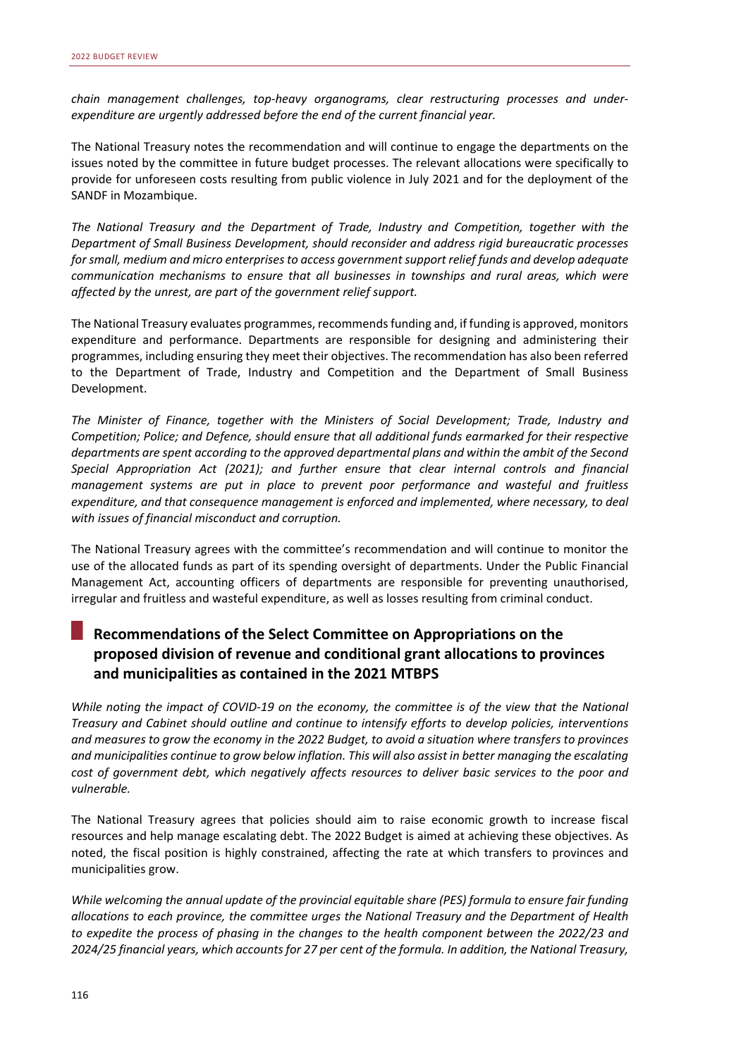*chain management challenges, top‐heavy organograms, clear restructuring processes and under‐ expenditure are urgently addressed before the end of the current financial year.* 

The National Treasury notes the recommendation and will continue to engage the departments on the issues noted by the committee in future budget processes. The relevant allocations were specifically to provide for unforeseen costs resulting from public violence in July 2021 and for the deployment of the SANDF in Mozambique.

*The National Treasury and the Department of Trade, Industry and Competition, together with the Department of Small Business Development, should reconsider and address rigid bureaucratic processes for small, medium and micro enterprises to access government support relief funds and develop adequate communication mechanisms to ensure that all businesses in townships and rural areas, which were*  affected by the unrest, are part of the government relief support.

The National Treasury evaluates programmes, recommends funding and, if funding is approved, monitors expenditure and performance. Departments are responsible for designing and administering their programmes, including ensuring they meet their objectives. The recommendation has also been referred to the Department of Trade, Industry and Competition and the Department of Small Business Development.

*The Minister of Finance, together with the Ministers of Social Development; Trade, Industry and Competition; Police; and Defence, should ensure that all additional funds earmarked for their respective departments are spent according to the approved departmental plans and within the ambit of the Second Special Appropriation Act (2021); and further ensure that clear internal controls and financial management systems are put in place to prevent poor performance and wasteful and fruitless expenditure, and that consequence management is enforced and implemented, where necessary, to deal*  with issues of financial misconduct and corruption.

The National Treasury agrees with the committee's recommendation and will continue to monitor the use of the allocated funds as part of its spending oversight of departments. Under the Public Financial Management Act, accounting officers of departments are responsible for preventing unauthorised, irregular and fruitless and wasteful expenditure, as well as losses resulting from criminal conduct.

# **Recommendations of the Select Committee on Appropriations on the proposed division of revenue and conditional grant allocations to provinces and municipalities as contained in the 2021 MTBPS**

*While noting the impact of COVID‐19 on the economy, the committee is of the view that the National Treasury and Cabinet should outline and continue to intensify efforts to develop policies, interventions and measures to grow the economy in the 2022 Budget, to avoid a situation where transfers to provinces and municipalities continue to grow below inflation. This will also assist in better managing the escalating cost of government debt, which negatively affects resources to deliver basic services to the poor and vulnerable.* 

The National Treasury agrees that policies should aim to raise economic growth to increase fiscal resources and help manage escalating debt. The 2022 Budget is aimed at achieving these objectives. As noted, the fiscal position is highly constrained, affecting the rate at which transfers to provinces and municipalities grow.

*While welcoming the annual update of the provincial equitable share (PES) formula to ensure fair funding allocations to each province, the committee urges the National Treasury and the Department of Health to expedite the process of phasing in the changes to the health component between the 2022/23 and 2024/25 financial years, which accounts for 27 per cent of the formula. In addition, the National Treasury,*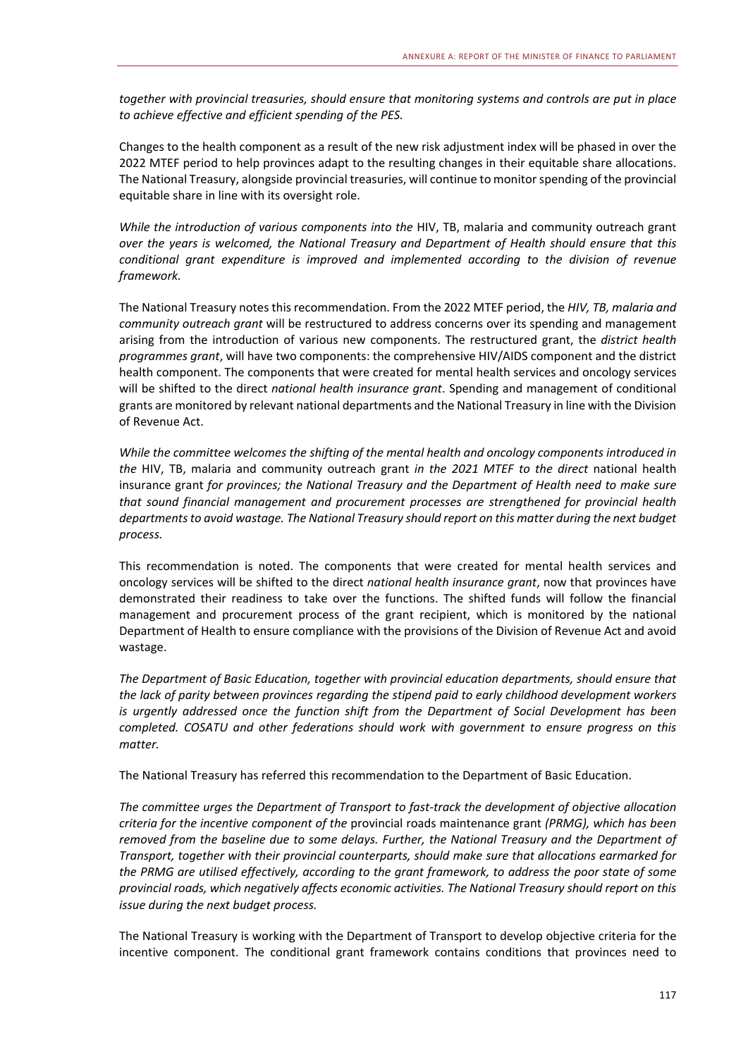*together with provincial treasuries, should ensure that monitoring systems and controls are put in place to achieve effective and efficient spending of the PES.* 

Changes to the health component as a result of the new risk adjustment index will be phased in over the 2022 MTEF period to help provinces adapt to the resulting changes in their equitable share allocations. The National Treasury, alongside provincial treasuries, will continue to monitor spending of the provincial equitable share in line with its oversight role.

*While the introduction of various components into the* HIV, TB, malaria and community outreach grant *over the years is welcomed, the National Treasury and Department of Health should ensure that this conditional grant expenditure is improved and implemented according to the division of revenue framework.* 

The National Treasury notes this recommendation. From the 2022 MTEF period, the *HIV, TB, malaria and community outreach grant* will be restructured to address concerns over its spending and management arising from the introduction of various new components. The restructured grant, the *district health programmes grant*, will have two components: the comprehensive HIV/AIDS component and the district health component. The components that were created for mental health services and oncology services will be shifted to the direct *national health insurance grant*. Spending and management of conditional grants are monitored by relevant national departments and the National Treasury in line with the Division of Revenue Act.

*While the committee welcomes the shifting of the mental health and oncology components introduced in the*  HIV, TB, malaria and community outreach grant *in the 2021 MTEF to the direct*  national health insurance grant *for provinces; the National Treasury and the Department of Health need to make sure that sound financial management and procurement processes are strengthened for provincial health departments to avoid wastage. The National Treasury should report on this matter during the next budget process.* 

This recommendation is noted. The components that were created for mental health services and oncology services will be shifted to the direct *national health insurance grant*, now that provinces have demonstrated their readiness to take over the functions. The shifted funds will follow the financial management and procurement process of the grant recipient, which is monitored by the national Department of Health to ensure compliance with the provisions of the Division of Revenue Act and avoid wastage.

*The Department of Basic Education, together with provincial education departments, should ensure that the lack of parity between provinces regarding the stipend paid to early childhood development workers is urgently addressed once the function shift from the Department of Social Development has been completed. COSATU and other federations should work with government to ensure progress on this matter.* 

The National Treasury has referred this recommendation to the Department of Basic Education.

*The committee urges the Department of Transport to fast‐track the development of objective allocation criteria for the incentive component of the* provincial roads maintenance grant *(PRMG), which has been removed from the baseline due to some delays. Further, the National Treasury and the Department of Transport, together with their provincial counterparts, should make sure that allocations earmarked for the PRMG are utilised effectively, according to the grant framework, to address the poor state of some provincial roads, which negatively affects economic activities. The National Treasury should report on this issue during the next budget process.* 

The National Treasury is working with the Department of Transport to develop objective criteria for the incentive component. The conditional grant framework contains conditions that provinces need to